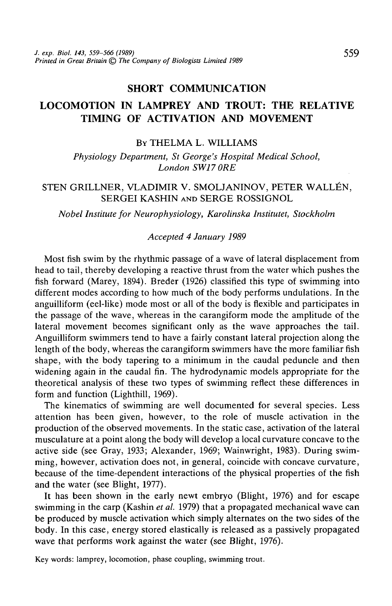## **SHORT COMMUNICATION**

# **LOCOMOTION IN LAMPREY AND TROUT: THE RELATIVE TIMING OF ACTIVATION AND MOVEMENT**

### BY THELMA L. WILLIAMS

*Physiology Department, St George's Hospital Medical School, London SW 17 ORE*

## STEN GRILLNER, VLADIMIR V. SMOLJANINOV, PETER WALLÉN, SERGEI KASHIN AND SERGE ROSSIGNOL

*Nobel Institute for Neurophysiology, Karolinska Institutet, Stockholm*

#### *Accepted 4 January 1989*

Most fish swim by the rhythmic passage of a wave of lateral displacement from head to tail, thereby developing a reactive thrust from the water which pushes the fish forward (Marey, 1894). Breder (1926) classified this type of swimming into different modes according to how much of the body performs undulations. In the anguilliform (eel-like) mode most or all of the body is flexible and participates in the passage of the wave, whereas in the carangiform mode the amplitude of the lateral movement becomes significant only as the wave approaches the tail. Anguilliform swimmers tend to have a fairly constant lateral projection along the length of the body, whereas the carangiform swimmers have the more familiar fish shape, with the body tapering to a minimum in the caudal peduncle and then widening again in the caudal fin. The hydrodynamic models appropriate for the theoretical analysis of these two types of swimming reflect these differences in form and function (Lighthill, 1969).

The kinematics of swimming are well documented for several species. Less attention has been given, however, to the role of muscle activation in the production of the observed movements. In the static case, activation of the lateral musculature at a point along the body will develop a local curvature concave to the active side (see Gray, 1933; Alexander, 1969; Wainwright, 1983). During swimming, however, activation does not, in general, coincide with concave curvature, because of the time-dependent interactions of the physical properties of the fish and the water (see Blight, 1977).

It has been shown in the early newt embryo (Blight, 1976) and for escape swimming in the carp (Kashin *et al.* 1979) that a propagated mechanical wave can be produced by muscle activation which simply alternates on the two sides of the body. In this case, energy stored elastically is released as a passively propagated wave that performs work against the water (see Blight, 1976).

Key words: lamprey, locomotion, phase coupling, swimming trout.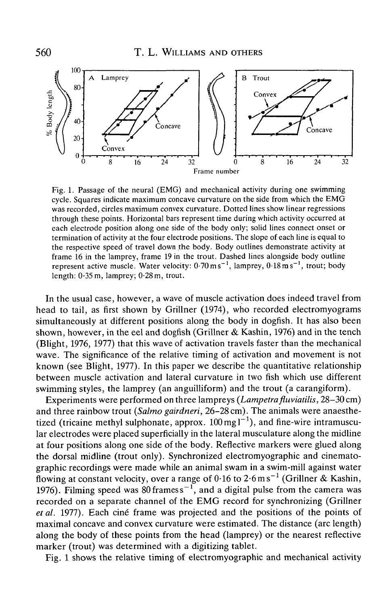

Fig. 1. Passage of the neural (EMG) and mechanical activity during one swimming cycle. Squares indicate maximum concave curvature on the side from which the EMG was recorded, circles maximum convex curvature. Dotted lines show linear regressions through these points. Horizontal bars represent time during which activity occurred at each electrode position along one side of the body only; solid lines connect onset or termination of activity at the four electrode positions. The slope of each line is equal to the respective speed of travel down the body. Body outlines demonstrate activity at frame 16 in the lamprey, frame 19 in the trout. Dashed lines alongside body outline represent active muscle. Water velocity:  $0.70 \text{ m s}^{-1}$ , lamprey,  $0.18 \text{ m s}^{-1}$ , trout; body length: 0-35 m, lamprey; 0-28 m, trout.

In the usual case, however, a wave of muscle activation does indeed travel from head to tail, as first shown by Grillner (1974), who recorded electromyograms simultaneously at different positions along the body in dogfish. It has also been shown, however, in the eel and dogfish (Grillner & Kashin, 1976) and in the tench (Blight, 1976, 1977) that this wave of activation travels faster than the mechanical wave. The significance of the relative timing of activation and movement is not known (see Blight, 1977). In this paper we describe the quantitative relationship between muscle activation and lateral curvature in two fish which use different swimming styles, the lamprey (an anguilliform) and the trout (a carangiform).

Experiments were performed on three lampreys *(Lampetrafluviatilis,* 28-30 cm) and three rainbow trout *(Salmo gairdneri,* 26-28cm). The animals were anaesthetized (tricaine methyl sulphonate, approx.  $100 \text{ mg l}^{-1}$ ), and fine-wire intramuscular electrodes were placed superficially in the lateral musculature along the midline at four positions along one side of the body. Reflective markers were glued along the dorsal midline (trout only). Synchronized electromyographic and cinematographic recordings were made while an animal swam in a swim-mill against water flowing at constant velocity, over a range of  $0.16$  to  $2.6$  ms<sup>-1</sup> (Grillner & Kashin, 1976). Filming speed was 80 frames  $s^{-1}$ , and a digital pulse from the camera was recorded on a separate channel of the EMG record for synchronizing (Grillner *et al.* 1977). Each ciné frame was projected and the positions of the points of maximal concave and convex curvature were estimated. The distance (arc length) along the body of these points from the head (lamprey) or the nearest reflective marker (trout) was determined with a digitizing tablet.

Fig. 1 shows the relative timing of electromyographic and mechanical activity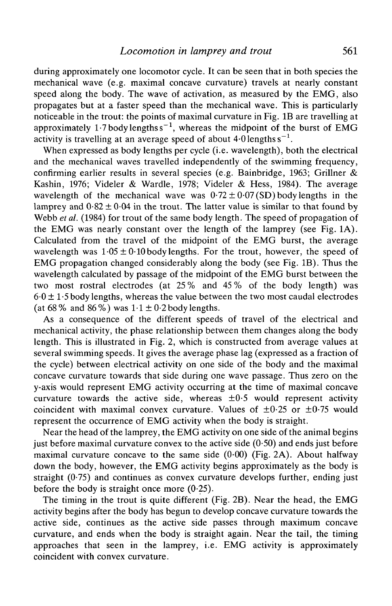during approximately one locomotor cycle. It can be seen that in both species the mechanical wave (e.g. maximal concave curvature) travels at nearly constant speed along the body. The wave of activation, as measured by the EMG, also propagates but at a faster speed than the mechanical wave. This is particularly noticeable in the trout: the points of maximal curvature in Fig. IB are travelling at approximately 1.7 body lengths  $s^{-1}$ , whereas the midpoint of the burst of EMG activity is travelling at an average speed of about 4 $\cdot 0$  lengths s $^{-1}$ .

When expressed as body lengths per cycle (i.e. wavelength), both the electrical and the mechanical waves travelled independently of the swimming frequency, confirming earlier results in several species (e.g. Bainbridge, 1963; Grillner & Kashin, 1976; Videler & Wardle, 1978; Videler & Hess, 1984). The average wavelength of the mechanical wave was  $0.72 \pm 0.07$  (SD) body lengths in the lamprey and  $0.82 \pm 0.04$  in the trout. The latter value is similar to that found by Webb *et al.* (1984) for trout of the same body length. The speed of propagation of the EMG was nearly constant over the length of the lamprey (see Fig. 1A). Calculated from the travel of the midpoint of the EMG burst, the average wavelength was  $1.05 \pm 0.10$  body lengths. For the trout, however, the speed of EMG propagation changed considerably along the body (see Fig. IB). Thus the wavelength calculated by passage of the midpoint of the EMG burst between the two most rostral electrodes (at 25 % and 45 % of the body length) was  $6.0 \pm 1.5$  body lengths, whereas the value between the two most caudal electrodes (at 68% and 86%) was  $1.1 \pm 0.2$  body lengths.

As a consequence of the different speeds of travel of the electrical and mechanical activity, the phase relationship between them changes along the body length. This is illustrated in Fig. 2, which is constructed from average values at several swimming speeds. It gives the average phase lag (expressed as a fraction of the cycle) between electrical activity on one side of the body and the maximal concave curvature towards that side during one wave passage. Thus zero on the y-axis would represent EMG activity occurring at the time of maximal concave curvature towards the active side, whereas  $\pm 0.5$  would represent activity coincident with maximal convex curvature. Values of  $\pm 0.25$  or  $\pm 0.75$  would represent the occurrence of EMG activity when the body is straight.

Near the head of the lamprey, the EMG activity on one side of the animal begins just before maximal curvature convex to the active side  $(0.50)$  and ends just before maximal curvature concave to the same side  $(0.00)$  (Fig. 2A). About halfway down the body, however, the EMG activity begins approximately as the body is straight  $(0.75)$  and continues as convex curvature develops further, ending just before the body is straight once more  $(0.25)$ .

The timing in the trout is quite different (Fig. 2B). Near the head, the EMG activity begins after the body has begun to develop concave curvature towards the active side, continues as the active side passes through maximum concave curvature, and ends when the body is straight again. Near the tail, the timing approaches that seen in the lamprey, i.e. EMG activity is approximately coincident with convex curvature.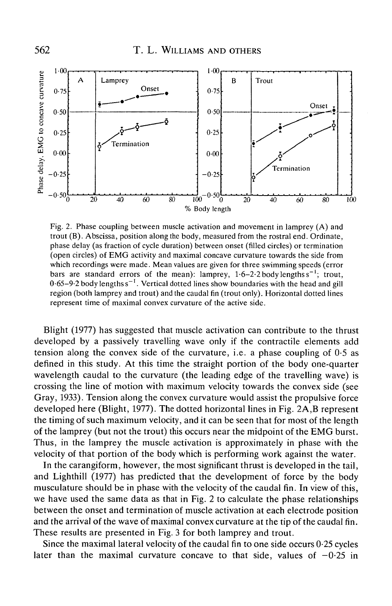

Fig. 2. Phase coupling between muscle activation and movement in lamprey (A) and trout (B). Abscissa, position along the body, measured from the rostral end. Ordinate, phase delay (as fraction of cycle duration) between onset (filled circles) or termination (open circles) of EMG activity and maximal concave curvature towards the side from which recordings were made. Mean values are given for three swimming speeds (error bars are standard errors of the mean): lamprey,  $1.6-2.2$  body lengths  $s^{-1}$ ; trout,  $0.65 - 9.2$  body lengths s<sup>-1</sup>. Vertical dotted lines show boundaries with the head and gill region (both lamprey and trout) and the caudal fin (trout only). Horizontal dotted lines represent time of maximal convex curvature of the active side.

Blight (1977) has suggested that muscle activation can contribute to the thrust developed by a passively travelling wave only if the contractile elements add tension along the convex side of the curvature, i.e. a phase coupling of 0-5 as defined in this study. At this time the straight portion of the body one-quarter wavelength caudal to the curvature (the leading edge of the travelling wave) is crossing the line of motion with maximum velocity towards the convex side (see Gray, 1933). Tension along the convex curvature would assist the propulsive force developed here (Blight, 1977). The dotted horizontal lines in Fig. 2A,B represent the timing of such maximum velocity, and it can be seen that for most of the length of the lamprey (but not the trout) this occurs near the midpoint of the EMG burst. Thus, in the lamprey the muscle activation is approximately in phase with the velocity of that portion of the body which is performing work against the water.

In the carangiform, however, the most significant thrust is developed in the tail, and Lighthill (1977) has predicted that the development of force by the body musculature should be in phase with the velocity of the caudal fin. In view of this, we have used the same data as that in Fig. 2 to calculate the phase relationships between the onset and termination of muscle activation at each electrode position and the arrival of the wave of maximal convex curvature at the tip of the caudal fin. These results are presented in Fig. 3 for both lamprey and trout.

Since the maximal lateral velocity of the caudal fin to one side occurs 0-25 cycles later than the maximal curvature concave to that side, values of  $-0.25$  in